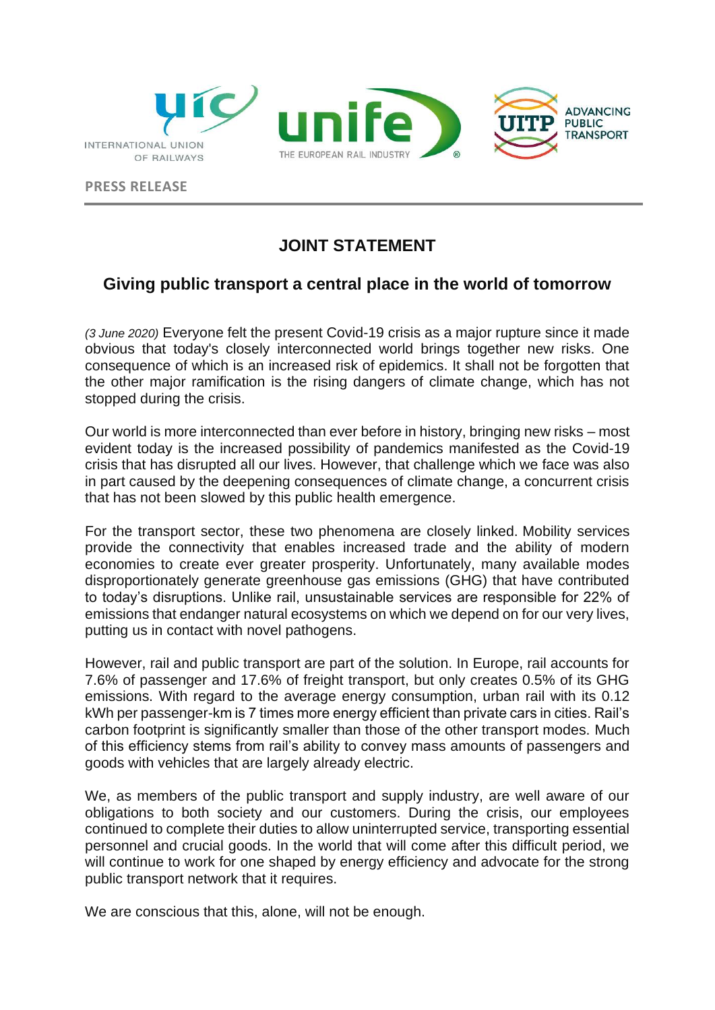

**PRESS RELEASE** 

## **JOINT STATEMENT**

## **Giving public transport a central place in the world of tomorrow**

*(3 June 2020)* Everyone felt the present Covid-19 crisis as a major rupture since it made obvious that today's closely interconnected world brings together new risks. One consequence of which is an increased risk of epidemics. It shall not be forgotten that the other major ramification is the rising dangers of climate change, which has not stopped during the crisis.

Our world is more interconnected than ever before in history, bringing new risks – most evident today is the increased possibility of pandemics manifested as the Covid-19 crisis that has disrupted all our lives. However, that challenge which we face was also in part caused by the deepening consequences of climate change, a concurrent crisis that has not been slowed by this public health emergence.

For the transport sector, these two phenomena are closely linked. Mobility services provide the connectivity that enables increased trade and the ability of modern economies to create ever greater prosperity. Unfortunately, many available modes disproportionately generate greenhouse gas emissions (GHG) that have contributed to today's disruptions. Unlike rail, unsustainable services are responsible for 22% of emissions that endanger natural ecosystems on which we depend on for our very lives, putting us in contact with novel pathogens.

However, rail and public transport are part of the solution. In Europe, rail accounts for 7.6% of passenger and 17.6% of freight transport, but only creates 0.5% of its GHG emissions. With regard to the average energy consumption, urban rail with its 0.12 kWh per passenger-km is 7 times more energy efficient than private cars in cities. Rail's carbon footprint is significantly smaller than those of the other transport modes. Much of this efficiency stems from rail's ability to convey mass amounts of passengers and goods with vehicles that are largely already electric.

We, as members of the public transport and supply industry, are well aware of our obligations to both society and our customers. During the crisis, our employees continued to complete their duties to allow uninterrupted service, transporting essential personnel and crucial goods. In the world that will come after this difficult period, we will continue to work for one shaped by energy efficiency and advocate for the strong public transport network that it requires.

We are conscious that this, alone, will not be enough.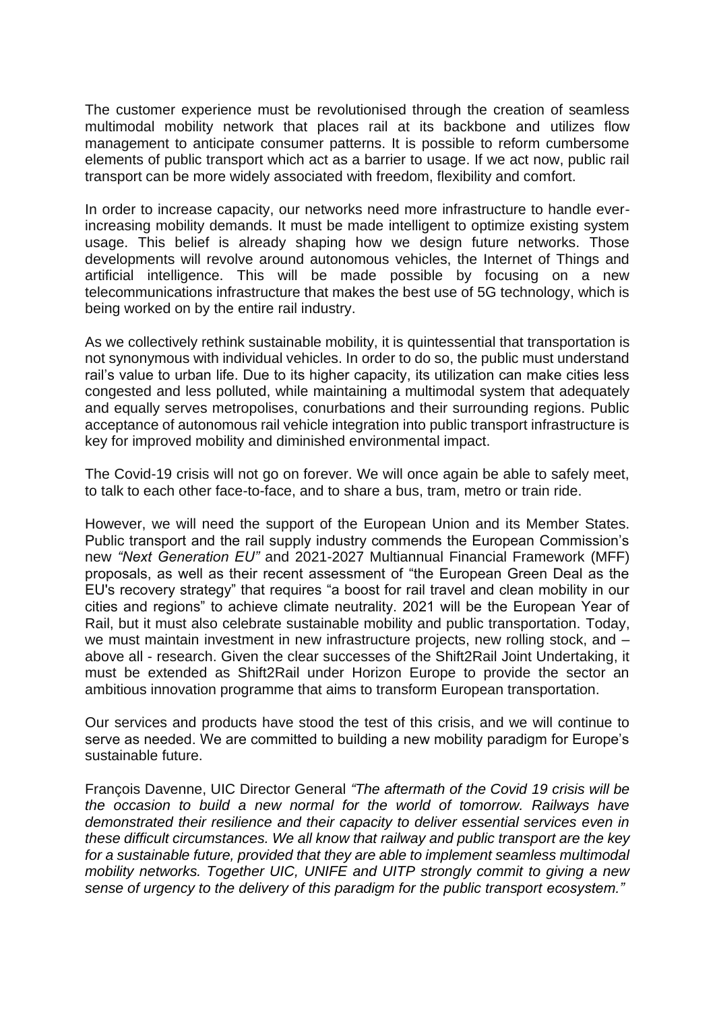The customer experience must be revolutionised through the creation of seamless multimodal mobility network that places rail at its backbone and utilizes flow management to anticipate consumer patterns. It is possible to reform cumbersome elements of public transport which act as a barrier to usage. If we act now, public rail transport can be more widely associated with freedom, flexibility and comfort.

In order to increase capacity, our networks need more infrastructure to handle everincreasing mobility demands. It must be made intelligent to optimize existing system usage. This belief is already shaping how we design future networks. Those developments will revolve around autonomous vehicles, the Internet of Things and artificial intelligence. This will be made possible by focusing on a new telecommunications infrastructure that makes the best use of 5G technology, which is being worked on by the entire rail industry.

As we collectively rethink sustainable mobility, it is quintessential that transportation is not synonymous with individual vehicles. In order to do so, the public must understand rail's value to urban life. Due to its higher capacity, its utilization can make cities less congested and less polluted, while maintaining a multimodal system that adequately and equally serves metropolises, conurbations and their surrounding regions. Public acceptance of autonomous rail vehicle integration into public transport infrastructure is key for improved mobility and diminished environmental impact.

The Covid-19 crisis will not go on forever. We will once again be able to safely meet, to talk to each other face-to-face, and to share a bus, tram, metro or train ride.

However, we will need the support of the European Union and its Member States. Public transport and the rail supply industry commends the European Commission's new *"Next Generation EU"* and 2021-2027 Multiannual Financial Framework (MFF) proposals, as well as their recent assessment of "the European Green Deal as the EU's recovery strategy" that requires "a boost for rail travel and clean mobility in our cities and regions" to achieve climate neutrality. 2021 will be the European Year of Rail, but it must also celebrate sustainable mobility and public transportation. Today, we must maintain investment in new infrastructure projects, new rolling stock, and  $$ above all - research. Given the clear successes of the Shift2Rail Joint Undertaking, it must be extended as Shift2Rail under Horizon Europe to provide the sector an ambitious innovation programme that aims to transform European transportation.

Our services and products have stood the test of this crisis, and we will continue to serve as needed. We are committed to building a new mobility paradigm for Europe's sustainable future.

François Davenne, UIC Director General *"The aftermath of the Covid 19 crisis will be the occasion to build a new normal for the world of tomorrow. Railways have demonstrated their resilience and their capacity to deliver essential services even in these difficult circumstances. We all know that railway and public transport are the key for a sustainable future, provided that they are able to implement seamless multimodal mobility networks. Together UIC, UNIFE and UITP strongly commit to giving a new sense of urgency to the delivery of this paradigm for the public transport ecosystem."*